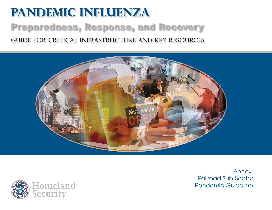# **Pandemic Influenza** Preparedness, Response, and Recovery Guide for critical infrastructure and key resources





Annex:Railroad Sub-Sector Pandemic Guideline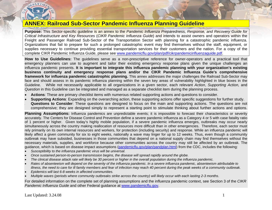

# **ANNEX: Railroad Sub-Sector Pandemic Influenza Planning Guideline**

**Purpose:** This Sector-specific guideline is an annex to the *Pandemic Influenza Preparedness, Response, and Recovery Guide for Critical Infrastructure and Key Resources* (*CIKR Pandemic Influenza Guide*) and intends to assist owners and operators within the Freight and Passenger Railroad Sub-Sector of the Transportation Sector with planning for a catastrophic pandemic influenza. Organizations that fail to prepare for such a prolonged catastrophic event may find themselves without the staff, equipment, or supplies necessary to continue providing essential transportation services for their customers and the nation. For a copy of the complete CIKR Pandemic Influenza Guide, please see [www.pandemicflu.gov/plan/pdf/cikrpandemicinfluenzaguide.pdf](http://www.pandemicflu.gov/plan/pdf/cikrpandemicinfluenzaguide.pdf).

**How to Use Guidelines:** The guidelines serve as a non-prescriptive reference for owner-operators and a practical tool that emergency planners can use to augment and tailor their existing emergency response plans given the unique challenges an influenza pandemic presents. **It is important to integrate this influenza pandemic planning with your organization's existing business continuity and emergency response plans and/or the CIKR Pandemic Influenza Guide's comprehensive framework for influenza pandemic catastrophic planning.** This annex addresses the major challenges the Railroad Sub-Sector may face and should assess in its pandemic influenza planning within the seven key areas of vulnerability highlighted in blue boxes in the Guideline. While not necessarily applicable to all organizations in a given sector, each relevant *Action*, *Supporting Action,* and *Question* in this Guideline can be integrated and managed as a separate checklist item during the planning process.

- •**Actions**: These are primary checklist items with numerous related supporting actions and questions to consider.
- • **Supporting Actions**: Expanding on the overarching action, these supporting actions offer specific suggestions for further study. **Questions to Consider**: These questions are designed to focus on the main and supporting actions. The questions are not comprehensive; they are designed simply to represent a starting point to stimulate thinking about further actions and options.

**Planning Assumptions:** Influenza pandemics are unpredictable events; it is impossible to forecast their characteristics or severity accurately. The Centers for Disease Control and Prevention define a severe pandemic influenza as a Category 4 or 5 with case fatality ratio of 1 percent or higher. Given today's highly mobile population, if a severe pandemic influenza emerges, outbreaks may occur nearly simultaneously across the country making reallocation of resources more difficult than in other emergencies. Therefore, each sector must rely primarily on its own internal resources and workers, for protection (including security) and response. While an influenza pandemic will likely affect a given community for six to eight weeks, nationally a wave may linger for up to 12 weeks. Thus, even though a community outbreak may have subsided, businesses in those communities that depend on a national supply chain may find themselves without the necessary materials, supplies, and workforce because other communities across the country may still be affected by an outbreak. The guidance, which is based on disease impact assumptions ([pandemicflu.gov/plan/pandplan.html](http://pandemicflu.gov/plan/pandplan.html)) from the CDC, includes the following:

- •*Susceptibility to the influenza pandemic virus will be universal.*
- •*Once sustained person-to-person transmission begins, the disease will spread rapidly around the globe.*
- •*The clinical disease attack rate will likely be 30 percent or higher in the overall population during the influenza pandemic.*
- • *Rates of absenteeism will depend on the severity of the influenza pandemic. In a severe influenza pandemic, absenteeism attributable to illness, the need to care for ill family members and fear of infection may reach 40 percent during the peak weeks of a community outbreak.*
- •*Epidemics will last 6-8 weeks in affected communities.*
- •*Multiple waves (periods where community outbreaks strike across the country) will likely occur with each lasting 2-3 months*.

For detailed information on the complete set of planning assumptions and the influenza pandemic context, see Section 3 of the *CIKR Pandemic Influenza Guide* and other Federal guidance at [www.pandemicflu.gov](http://www.pandemicflu.gov/).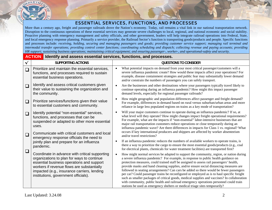

## ESSENTIAL SERVICES, FUNCTIONS, AND PROCESSES

More than a century ago, freight and passenger railroads drove the Nation's economy. Today, rail remains a vital link in our national transportation network. Disruption to the continuous operations of these essential services may generate severe challenges to local, regional, and national economic and social stability. Proactive planning with emergency management and safety officials, and other government, leaders will help integrate railroad operations into Federal, State, and local emergency response planning. Primarily a service provider, the Railroad Sector's function is transporting goods/products and people. Specific functions and processes include: *receiving, holding, securing and managing passengers and goods; providing customer service support; managing rail terminal and intermodal transfer operations; providing control center functions; coordinating scheduling and dispatch; collecting revenue and paying accounts; providing HR support; sustaining business operations; maintaining critical equipment; and ensuring passenger-, worker-, and operational-safety and security.*

#### **ACTION Identify and assess essential services, functions, and processes. √ SUPPORTING ACTIONS QUESTIONS TO CONSIDER**   $\Box$  $\Box$  $\Box$  $\Box$  $\Box$  $\Box$ Prioritize and maintain the essential services, functions, and processes required to sustain essential business operations. Identify and assess critical customers given their value to sustaining the organization and the community. Prioritize services/functions given their value to essential customers and community. Identify potential "non-essential" services, functions, and processes that can be suspended or adapted to other more essential uses. Communicate with critical customers and local emergency response officials the need to jointly plan and prepare for an influenza pandemic. Coordinate in advance with critical supporting organizations to plan for ways to continue essential business operations and support workers if revenue flows are substantially impacted (e.g., insurance carriers, lending institutions, government officials). • What potential impacts on demand from your most critical passenger/customers will a severe influenza pandemic create? How would these impacts affect your operations? For example, disease containment strategies and public fear may substantially lower demand and/or constrain the numbers of passengers you can safely transport. • Are the businesses and other destinations where your passengers typically travel likely to continue operating during an influenza pandemic? How might this impact passenger demand levels, especially for regional passenger railroads? • How might geographic and population differences affect passenger and freight demand? For example, differences in demand based on rural versus suburban/urban areas and more reliance in large less populated regions on trains as a key mode of transportation? •Will your major customers continue to operate during an influenza pandemic? If so, at what level will they operate? How might changes impact freight operational requirements? For example, what are the impacts if "non-essential" labor-intensive businesses that are major rail transportation customers reduce operations or close temporarily during an influenza pandemic wave? Are there differences in impacts for Class 1 vs. regional? What occurs if key international producers and shippers are affected by worker absenteeism and/or travel restrictions? • If an influenza pandemic reduces the numbers of available workers to operate trains, is there a way to prioritize the cargo to ensure the most essential goods/products (e.g., coal for electrical plants, chemicals for water treatment facilities) are transported first? • How might normal services be adapted to support the community, region, or nation during a severe influenza pandemic? For example, in response to public health guidance on protection measures, could trained staff be assigned to assess rail passengers' health, provide masks and hand cleaning supplies, and/or ensure social distancing measures are followed in seating arrangements? Can cars be added so there would be fewer passengers per car? Could passenger trains be reconfigured or employed as is to haul specific freight such as smaller packages of critical goods, medical supplies and vaccines? In collaboration with community, public health and railroad emergency operations personnel could train stations be used as emergency shelters or medical triage sites temporarily?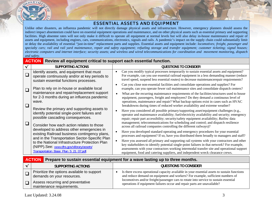

#### ESSENTIAL ASSETS AND EQUIPMENT

Unlike other disasters, an influenza pandemic will not directly damage physical assets and infrastructure. However, emergency planners should assess the indirect impact absenteeism could have on essential equipment operations and maintenance, and on other physical assets such as essential primary and supporting facilities. High absentee rates will not only make it difficult to operate all equipment at normal levels but will also delay in-house maintenance and repair of assets and equipment, including engines, cars, communications, electronics, signals and rails. A pandemic's impact on the supply chain could substantially limit or delay the availability of essential "just-in-time" replacement parts and supplies. Essential assets and equipment include: *locomotives; freight, passenger and specialty cars; rail and rail yard maintenance, repair and safety equipment; refueling storage and transfer equipment; customer ticketing; signal houses; electronic computers and internet interface; security assets; and wireless and wired telecommunications for coordination and movement monitoring, dispatch and safety.*

|          | <b>ACTION</b><br>Review all equipment critical to support each essential function.                                                  |                                                                                                                                                                                                                                                                                                                                                                         |  |  |
|----------|-------------------------------------------------------------------------------------------------------------------------------------|-------------------------------------------------------------------------------------------------------------------------------------------------------------------------------------------------------------------------------------------------------------------------------------------------------------------------------------------------------------------------|--|--|
|          | <b>SUPPORTING ACTIONS</b>                                                                                                           | <b>QUESTIONS TO CONSIDER</b>                                                                                                                                                                                                                                                                                                                                            |  |  |
|          | Identify assets, and equipment that must<br>operate continuously and/or at key periods to<br>sustain essential functions processes. | Can you modify typical processes temporarily to sustain essential assets and equipment?<br>For example, can you use essential railroad equipment in a less demanding manner (reduce<br>travel speed, suspend less essential routes) to decrease maintenancerepair requirements?                                                                                         |  |  |
| $\Box$   | Plan to rely on in-house or available local                                                                                         | Can you close non-essential facilities and consolidate operations and supplies? For<br>example, can you operate fewer rail maintenance sites and consolidate dispatch centers?                                                                                                                                                                                          |  |  |
| $\sqcup$ | maintenance and repair/replacement support<br>for 2-3 months during an influenza pandemic<br>wave.                                  | What are the recurring maintenance requirements of the facilities/structures used to house<br>equipment, passengers, freight and employees? Do they demand a continuous level of<br>operations, maintenance and repair? What backup options exist in cases such as HVAC<br>breakdowns during times of reduced worker availability and extreme weather?                  |  |  |
|          | Review the primary and supporting assets to<br>identify potential single-point failures and<br>possible cascading consequences.     | Have you considered all possible primary/supporting asset/equipment challenges (e.g.,<br>operator and maintenance availability; fuel/electricity availability and security; emergency<br>repair; repair part accessibility; security/safety equipment availability; Railinc data<br>management; telecommunications for scheduling and control; and dispatch resilience  |  |  |
|          | Consider how each action relates to those<br>developed to address other emergencies in                                              | across all railroad companies controlling the different railways)?                                                                                                                                                                                                                                                                                                      |  |  |
|          | existing Railroad business contingency plans,<br>and in the Transportation Sector-Specific Plan                                     | Have you developed standard operating and emergency procedures for your essential<br>processes and equipment? If so, have you distributed them broadly to managers and staff?                                                                                                                                                                                           |  |  |
|          | to the National Infrastructure Protection Plan<br>(NIPP).See: www.dhs.gov/xlibrary/assets/<br>Transportation_Base_Plan_5_21_07.pdf. | Have you assessed all primary and supporting rail systems with your contractors and other<br>key stakeholders to identify potential single-point failures in that network? For example,<br>assessments with your contractors working intermodal transfer site and operational support<br>equipment, food and catering suppliers, and independent wreck clearance crews. |  |  |

|                                                                           | <b>ACTION</b> Prepare to sustain essential equipment for a wave lasting up to three months.                                                                                    |  |  |
|---------------------------------------------------------------------------|--------------------------------------------------------------------------------------------------------------------------------------------------------------------------------|--|--|
| <b>SUPPORTING ACTIONS</b>                                                 | <b>QUESTIONS TO CONSIDER</b>                                                                                                                                                   |  |  |
| Prioritize the options available to support<br>demands on your resources. | Is there excess operational capacity available in your essential assets to sustain functions<br>and reduce demand on equipment and workers? For example, sufficient numbers of |  |  |
| Assess recurring and preventative<br>maintenance requirements.            | locomotives and/or freight/passenger cars to rotate into service to sustain essential<br>operations if equipment failures occur and repair parts are unavailable?              |  |  |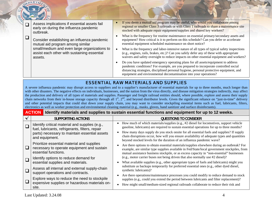|  | Assess implications if essential assets fail<br>early on during the influenza pandemic<br>outbreak.    | If you deem a mutual aid program may be useful, who would you collaborate among<br>regional or smaller Class 3 railroads or with Class 1 railroads to share a maintenance site<br>stocked with adequate repair equipment/supplies and shared key workers?                                                                                |
|--|--------------------------------------------------------------------------------------------------------|------------------------------------------------------------------------------------------------------------------------------------------------------------------------------------------------------------------------------------------------------------------------------------------------------------------------------------------|
|  | Consider establishing an influenza pandemic<br>mutual aid program among similar                        | What is the frequency for routine maintenance on essential primary/secondary assets and<br>equipment? How critical is it to perform on this schedule? Can you defer or accelerate<br>essential equipment scheduled maintenance on short notice?                                                                                          |
|  | small/medium and even large organizations to<br>assist each other with sustaining essential<br>assets. | What is the frequency and labor-intensive nature of all types of typical safety inspections<br>(e.g., engines, rails, brakes, etc.)? Can you safely defer any of these with appropriate<br>waivers and safety oversight to reduce impacts on other essential equipment and workers?                                                      |
|  |                                                                                                        | Do you have updated emergency operating plans for all assets/equipment to address<br>pandemic conditions? For example, are you prepared to incorporate controlled social<br>distancing strategies, disciplined personal hygiene, personal protective equipment, and<br>equipment and environmental decontamination into your operations? |

# ESSENTIAL RAW MATERIALS AND SUPPLIES

A severe influenza pandemic may disrupt access to suppliers and to a supplier's manufacturer of essential materials for up to three months, much longer than with other disasters. The negative effects on individuals, businesses, and the nation from the virus directly, and disease mitigation strategies indirectly, may affect the production and delivery of all types of materials and supplies. Passenger and freight railroad entities should, where possible, explore and assess their supply chain networks from their in-house storage capacity through all 1<sup>st</sup>, 2<sup>nd</sup>, and beyond distributor levels. Given the significant reliance on "just-in-time" delivery and other potential impacts that could shut down your supply chain, you may want to consider stockpiling essential items such as fuel, lubricants, filters, electronics as well as worker protection and environmental cleaning material (e.g., masks, gloves, hand sanitizer and surface disinfectants).

### **ACTION** Identify materials and supplies to sustain essential functions and equipment for up to 12 weeks.

|   | SUPPORTING ACTIONS                                                                                               | QUESTIONS TO CONSIDER                                                                                                                                                                                                                                                                  |
|---|------------------------------------------------------------------------------------------------------------------|----------------------------------------------------------------------------------------------------------------------------------------------------------------------------------------------------------------------------------------------------------------------------------------|
|   | Identify critical material and supplies (e.g.,<br>fuel, lubricants, refrigerants, filters, repair                | How much of which materials/supplies (e.g., #2 diesel for locomotives, support vehicle<br>gasoline, lubricants) are required to sustain essential operations for up to three months?                                                                                                   |
|   | parts) necessary to maintain essential assets<br>and equipment.                                                  | How many days supply do you stock onsite for all essential fuels and supplies? If supply<br>chain disruptions occur, how will you ensure availability of adequate types and quantities<br>beyond stocked levels for the duration of an influenza pandemic wave?                        |
| ❏ | Prioritize essential material and supplies<br>necessary to operate equipment and sustain<br>essential functions. | Are there options to obtain essential materials/supplies elsewhere during an outbreak? For<br>example, are similar type supplies available in Fed/State/local government stockpiles, from<br>mutual assistance business stockpile, or as excess capacity in "non-essential" businesses |
|   | Identify options to reduce demand for                                                                            | (e.g., motor carrier buses not being driven that also normally use #2 diesel)?                                                                                                                                                                                                         |
|   | essential supplies and materials.                                                                                | What available supplies (e.g., other appropriate types of fuels and lubricants) might you                                                                                                                                                                                              |
|   | Assess all internal and external supply-chain<br>support operations and contracts.                               | substitute as backups temporarily for preferred essential ones (e.g., other dyed diesel,<br>synthetic lubricants)?                                                                                                                                                                     |
|   | Explore ways to reduce the need to stockpile<br>expensive supplies or hazardous materials on-                    | Are there operations/maintenance processes you could modify to reduce demand to stock<br>supplies (e.g., could you extend the period between lubricants and filter replacement)?<br>How might small/medium-sized regional railroads collaborate to reduce their risk and               |
|   | site.                                                                                                            |                                                                                                                                                                                                                                                                                        |

Last Updated: 3.24.08 4

DEPARTME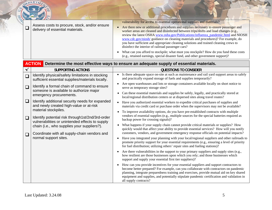|              | DEPARTA                                                                                                            |                                                                                                                                                                                                                                                                                                                                                                                                                                                                                                                                                                                                                                                                                                                                                                                 |
|--------------|--------------------------------------------------------------------------------------------------------------------|---------------------------------------------------------------------------------------------------------------------------------------------------------------------------------------------------------------------------------------------------------------------------------------------------------------------------------------------------------------------------------------------------------------------------------------------------------------------------------------------------------------------------------------------------------------------------------------------------------------------------------------------------------------------------------------------------------------------------------------------------------------------------------|
| $\Box$       | Assess costs to procure, stock, and/or ensure<br>delivery of essential materials.                                  | vulnerability for access to essential operational supplies and materials?<br>Are there new or additional procedures and supplies necessary to ensure passenger and<br>$\bullet$<br>worker areas are cleaned and disinfected between trips/shifts and load changes (e.g.,<br>review the latest OSHA www.osha.gov/Publications/influenza pandemic.html and NIOSH<br>www.cdc.gov/niosh/ guidance on cleaning materials and procedures)? For example, do<br>you have sufficient and appropriate cleaning solutions and trained cleaning crews to<br>disinfect the interior of railroad passenger cars?<br>What can you afford to stockpile; what must you stockpile? How do you fund these costs<br>(e.g., retained earnings, special disaster fund, and other government support)? |
|              | <b>ACTION</b>                                                                                                      | Determine the most effective ways to ensure an adequate supply of essential materials.                                                                                                                                                                                                                                                                                                                                                                                                                                                                                                                                                                                                                                                                                          |
| $\checkmark$ | <b>SUPPORTING ACTIONS</b>                                                                                          | <b>QUESTIONS TO CONSIDER</b>                                                                                                                                                                                                                                                                                                                                                                                                                                                                                                                                                                                                                                                                                                                                                    |
| $\Box$       | Identify physical/safety limitations in stocking<br>sufficient essential supplies/materials locally.               | Is there adequate space on-site at such as maintenance and rail yard support areas to safely<br>$\bullet$<br>and practically expand storage of fuels and supplies temporarily?                                                                                                                                                                                                                                                                                                                                                                                                                                                                                                                                                                                                  |
| $\Box$       | Identify a formal chain of command to ensure<br>someone is available to authorize major<br>emergency procurements. | Are open warehouses and lots or storage containers available locally on short notice to<br>$\bullet$<br>serve as temporary storage sites?<br>Can these essential materials and supplies be safely, legally, and practically stored at<br>$\bullet$<br>local/regional distribution centers or at dispersed sites along travel routes?                                                                                                                                                                                                                                                                                                                                                                                                                                            |
| $\Box$       | Identify additional security needs for expanded<br>and newly created high-value or at-risk<br>material stockpiles. | Have you authorized essential workers to expedite critical purchases of supplies and<br>$\bullet$<br>materials via credit card or purchase order when the supervisors may not be available?<br>To improve availability options, do you have pre-established contracts with multiple<br>$\bullet$                                                                                                                                                                                                                                                                                                                                                                                                                                                                                |
| $\Box$       | Identify potential risk through1st/2nd/3rd-order<br>vulnerabilities or unintended effects to supply                | vendors of essential supplies (e.g., multiple sources for the special batteries required as<br>backup power for crossing signals)?                                                                                                                                                                                                                                                                                                                                                                                                                                                                                                                                                                                                                                              |
|              | chain (i.e., who supplies your suppliers?).                                                                        | What happens if your supply chain cannot provide critical materials or supplies? How<br>$\bullet$<br>quickly would that affect your ability to provide essential services? How will you notify                                                                                                                                                                                                                                                                                                                                                                                                                                                                                                                                                                                  |
| $\Box$       | Coordinate with all supply-chain vendors and<br>normal support sites.                                              | customers, vendors, and government emergency response officials on potential impacts?<br>Have you integrated your planning with your local/regional suppliers and other railroads to<br>$\bullet$<br>promote priority support for your essential requirements (e.g., ensuring a level of priority<br>for fuel distribution; utilizing others' repair sites and fueling stations)?                                                                                                                                                                                                                                                                                                                                                                                               |
|              |                                                                                                                    | Are there vulnerabilities in the support to your primary suppliers and supply sites (e.g.,<br>$\bullet$<br>how resilient are those businesses upon which you rely; and those businesses which<br>support and supply your essential first tier suppliers)?                                                                                                                                                                                                                                                                                                                                                                                                                                                                                                                       |
|              |                                                                                                                    | How can you provide incentives for your essential suppliers and support contractors to<br>$\bullet$<br>become better prepared? For example, can you collaborate with contractors on pandemic<br>planning, integrate preparedness training and exercises, provide mutual aid on key shared<br>equipment and supplies, and potentially stipulate pandemic certification and validation in<br>all supply contracts?                                                                                                                                                                                                                                                                                                                                                                |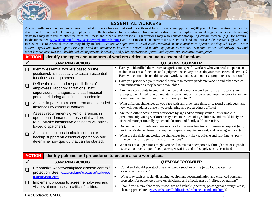

#### ESSENTIAL WORKERS

A severe influenza pandemic may cause extended absences for essential workers with workforce absenteeism approaching 40 percent. Complicating matters, the disease will strike randomly among employees from the boardroom to the mailroom. Implementing disciplined workplace personal hygiene and social distancing strategies may help reduce absentee rates for illness and other related reasons. Organizations may also consider stockpiling certain medical (e.g., for antiviral medications, see [www.pandemicflu.gov/vaccine/medantivirals.html\)](http://www.pandemicflu.gov/vaccine/medantivirals.html) and non-medical countermeasures, such as hand and surface disinfectants, gloves, and masks. A list of essential workers may likely include: *locomotive engineers*; r*ailroad conductors/brakemen*; *central yard operations; dispatchers and crew callers;* s*ignal and* s*witch operators; repair and maintenance technicians for fixed and mobile equipment, electronics., communications and railway; HR and other key business workers; health and safety personnel; security and police operations;*<sup>o</sup>*perational supervisors*; e*xecutive management.* 

|        | <b>ACTION</b><br>  Identify the types and numbers of workers critical to sustain essential functions.                                     |                                                                                                                                                                                                                                                                                         |  |  |  |
|--------|-------------------------------------------------------------------------------------------------------------------------------------------|-----------------------------------------------------------------------------------------------------------------------------------------------------------------------------------------------------------------------------------------------------------------------------------------|--|--|--|
|        | <b>SUPPORTING ACTIONS</b>                                                                                                                 | <b>QUESTIONS TO CONSIDER</b>                                                                                                                                                                                                                                                            |  |  |  |
| $\Box$ | Identify essential workers based on the<br>position/skills necessary to sustain essential<br>functions and equipment.                     | Have you identified the worker categories and specific workers who you need to operate and<br>maintain essential functions and equipment necessary to sustain your most essential services?<br>Have you communicated this to your workers, unions, and other appropriate organizations? |  |  |  |
| $\Box$ | Define the roles and responsibilities of                                                                                                  | Have you prioritized your essential workers to receive pandemic vaccine and other medical<br>countermeasures as they become available?                                                                                                                                                  |  |  |  |
|        | employees, labor organizations, staff,<br>supervisors, managers, and staff medical<br>personnel during an influenza pandemic.             | Are there constraints in employing union and non-union workers for specific tasks? For<br>example, can skilled railroad maintenance technicians serve as engineers temporarily, or can<br>non-union operators fill in for sick union operators?                                         |  |  |  |
| $\Box$ | Assess impacts from short-term and extended<br>absences by essential workers.                                                             | What different challenges do you face with full-time, part-time, or seasonal employees, and<br>$\bullet$<br>how will you address these in your planning and preparedness efforts?                                                                                                       |  |  |  |
| $\Box$ | Assess requirements given differences in<br>operational demands for essential workers<br>(e.g., off-site locomotive engineers vs. office- | Are there differences in your workforce by age and/or family status? For example, a<br>predominantly young workforce may have more school-age children, and would likely be<br>affected more profoundly by school closures and family self-quarantine.                                  |  |  |  |
|        | based dispatchers).                                                                                                                       | Do contractors provide in-house services for business functions or passenger support (e.g.,<br>$\bullet$<br>workplace/vehicle cleaning, equipment repair, computer support, and catering services)?                                                                                     |  |  |  |
| $\Box$ | Assess the options to obtain contractor<br>backup support on essential operations and<br>determine how quickly that can be started.       | What are the different workforce challenges for on-site vs. off-site and full-time vs. part-<br>time contractors to perform critical functions?                                                                                                                                         |  |  |  |
|        |                                                                                                                                           | What essential operations might you need to maintain temporarily through new or expanded<br>$\bullet$<br>external contract support (e.g., passenger waiting and rail supply stocks security)?                                                                                           |  |  |  |

#### **ACTION** Identify policies and procedures to ensure a safe workplace.

| <b>SUPPORTING ACTIONS</b>                                                                          | QUESTIONS TO CONSIDER                                                                                                                                                         |  |
|----------------------------------------------------------------------------------------------------|-------------------------------------------------------------------------------------------------------------------------------------------------------------------------------|--|
| Emphasize worker/workplace disease control/<br>protection. See: www.pandemicflu.gov/plan/workplace | Could and should you stockpile emergency supplies onsite (e.g., food, water) for<br>sequestered workers?                                                                      |  |
| planning/index.html<br>Implement process to screen employees and                                   | What may such as social distancing, equipment decontamination and enhanced personal<br>protection for passengers have on efficiency and effectiveness of railroad operations? |  |
| visitors at entrances to critical facilities.                                                      | Should you alter/enhance your worksite and vehicle (operator, passenger and freight areas)<br>cleaning procedures (www.osha.gov/Publications/influenza_pandemic.html)?        |  |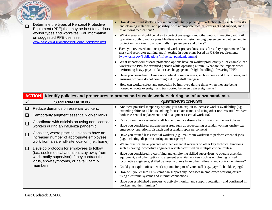|              | DEPARTA                                                                                                                                                                                                                       |                                                                                                                                                                                                                                                                                                                                                                                                                                                                                                                                                                                                                                                                                                                                                                                                                                                                                                                                                                                                                                                                                                                                                                                                                                                                                                                                                     |  |  |  |  |  |  |
|--------------|-------------------------------------------------------------------------------------------------------------------------------------------------------------------------------------------------------------------------------|-----------------------------------------------------------------------------------------------------------------------------------------------------------------------------------------------------------------------------------------------------------------------------------------------------------------------------------------------------------------------------------------------------------------------------------------------------------------------------------------------------------------------------------------------------------------------------------------------------------------------------------------------------------------------------------------------------------------------------------------------------------------------------------------------------------------------------------------------------------------------------------------------------------------------------------------------------------------------------------------------------------------------------------------------------------------------------------------------------------------------------------------------------------------------------------------------------------------------------------------------------------------------------------------------------------------------------------------------------|--|--|--|--|--|--|
| $\Box$       | Determine the types of Personal Protective<br>Equipment (PPE) that may be best for various<br>worker types and worksites. For information<br>on suggested PPE use, see:<br>www.osha.gov/Publications/influenza_pandemic.html. | How do you fund stocking worker and potentially passenger protection items such as masks<br>and cleaning materials, and possibly, with appropriate medical oversight and support, such<br>as antiviral medications?<br>What measures should be taken to protect passengers and other public interacting with rail<br>operations both to reduce possible disease transmission among passengers and others and to<br>protect rail workers from potentially ill passengers and others?<br>Have you reviewed and incorporated worker preparedness tasks for safety requirements like<br>mask and respirator training and fit testing in your plans based on OSHA requirements<br>(www.osha.gov/Publications/influenza pandemic.html)?<br>What impacts will disease protection options have on worker productivity? For example, can<br>workers use PPE for extended periods while operating a train? What are the impacts when<br>performing heavy physical labor (i.e., baggage and freight handling) if wearing PPE?<br>Have you considered closing non-critical common areas, such as break and lunchrooms, and<br>$\bullet$<br>ensuring workers do not commingle during shift changes?<br>How can worker safety and protection be improved during times when they are being<br>housed en route overnight and transported between train assignments? |  |  |  |  |  |  |
|              | <b>ACTION</b><br>Identify policies and procedures to protect and sustain workers during an influenza pandemic.                                                                                                                |                                                                                                                                                                                                                                                                                                                                                                                                                                                                                                                                                                                                                                                                                                                                                                                                                                                                                                                                                                                                                                                                                                                                                                                                                                                                                                                                                     |  |  |  |  |  |  |
| $\checkmark$ | <b>SUPPORTING ACTIONS</b>                                                                                                                                                                                                     | <b>QUESTIONS TO CONSIDER</b>                                                                                                                                                                                                                                                                                                                                                                                                                                                                                                                                                                                                                                                                                                                                                                                                                                                                                                                                                                                                                                                                                                                                                                                                                                                                                                                        |  |  |  |  |  |  |
|              |                                                                                                                                                                                                                               |                                                                                                                                                                                                                                                                                                                                                                                                                                                                                                                                                                                                                                                                                                                                                                                                                                                                                                                                                                                                                                                                                                                                                                                                                                                                                                                                                     |  |  |  |  |  |  |
| $\Box$<br>└  | Reduce demands on essential workers.<br>Temporarily augment essential worker ranks.                                                                                                                                           | Are there practical temporary options you can exploit to increase worker availability (e.g.,<br>extending shifts to 12 hours, adding focused overtime, and using other non-essential workers<br>both as essential replacements and to augment essential workers)?                                                                                                                                                                                                                                                                                                                                                                                                                                                                                                                                                                                                                                                                                                                                                                                                                                                                                                                                                                                                                                                                                   |  |  |  |  |  |  |
| $\Box$       | Coordinate with officials on using non-licensed<br>workers during an influenza pandemic.                                                                                                                                      | Can you send non-essential staff home to reduce disease transmission at the workplace?<br>$\bullet$<br>Have you considered extreme measures, such as sequestering essential workers onsite (e.g.,                                                                                                                                                                                                                                                                                                                                                                                                                                                                                                                                                                                                                                                                                                                                                                                                                                                                                                                                                                                                                                                                                                                                                   |  |  |  |  |  |  |
| $\Box$       | Consider, where practical, plans to have an<br>increased number of appropriate employees<br>work from a safer off-site location (i.e., home).                                                                                 | emergency operations, dispatch and essential repair personnel)?<br>Have you trained less essential workers (e.g., mailroom workers) to perform essential jobs<br>$\bullet$<br>(e.g., ticketing, dispatch) during an emergency?<br>Where practical have you cross-trained essential workers on other key technical functions                                                                                                                                                                                                                                                                                                                                                                                                                                                                                                                                                                                                                                                                                                                                                                                                                                                                                                                                                                                                                         |  |  |  |  |  |  |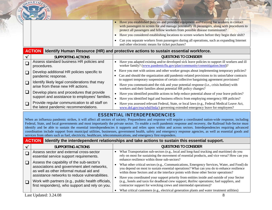

- • Have you established policies and provided equipment and training for workers in contact with passengers to screen for and manage potentially ill passengers, along with procedures to protect all passengers and fellow workers from possible disease transmission?
- •Have you considered establishing locations to screen workers before they begin their shift?
- $\bullet$  Can you separate workers from passengers during all operations, such as expanding Internet and other electronic means for ticket purchases?

|                                                                                       | <b>ACTION</b> Identify Human Resource (HR) and protective actions to sustain essential workforce.                                                                                                                                                 |  |  |  |
|---------------------------------------------------------------------------------------|---------------------------------------------------------------------------------------------------------------------------------------------------------------------------------------------------------------------------------------------------|--|--|--|
| <b>SUPPORTING ACTIONS</b>                                                             | <b>QUESTIONS TO CONSIDER</b>                                                                                                                                                                                                                      |  |  |  |
| Assess standard business HR policies and<br>procedures.                               | Have you adapted existing and/or developed sick leave policies to support ill workers and ill<br>worker family? (www.pandemicflu.gov/plan/community/commitigation.html)?                                                                          |  |  |  |
| Develop additional HR policies specific to                                            | Have you met with unions and other worker groups about implementing temporary policies?                                                                                                                                                           |  |  |  |
| pandemic response.                                                                    | Can and should the organization add pandemic-related provisions to its union/labor contracts                                                                                                                                                      |  |  |  |
| Identify likely legal considerations that may<br>arise from these new HR actions.     | to support temporary suspension of certain collective bargaining agreement provisions?<br>Have you communicated the risk and your potential response (i.e., crisis hotline) with<br>workers and their families about potential HR policy changes? |  |  |  |
| Develop plans and procedures that provide                                             | Have you identified possible actions to help reduce potential abuse of your leave policies?                                                                                                                                                       |  |  |  |
| support and assistance to employees' families.                                        | Have you identified legal and business effects from employing emergency HR policies?                                                                                                                                                              |  |  |  |
| Provide regular communication to all staff on<br>the latest pandemic recommendations. | Have you assessed relevant Federal, State, or local laws (e.g., Federal Medical Leave Act,<br>www.dol.gov/esa/whd/fmla/) governing extended emergency leave for employees?                                                                        |  |  |  |
|                                                                                       |                                                                                                                                                                                                                                                   |  |  |  |

# ESSENTIAL INTERDEPENDENCIES

When an influenza pandemic strikes, it will affect all sectors of society. Preparedness and response will require a coordinated nation-wide response, including Federal, State, and local governments and most importantly the private sector. To enable a swift pandemic response and recovery, the Railroad Sub-Sector must identify and be able to sustain the essential interdependencies it supports and relies upon within and across sectors. Interdependencies requiring advanced coordination include support from municipal utilities, businesses, government health, safety and emergency response agencies, as well as essential goods and services from others such as fuel, electricity, healthcare, telecommunications, and emergency first responders.

#### **ACTIONIdentify the interdependent relationships and take actions to sustain this essential support.**

| <b>SUPPORTING ACTIONS</b>                                                                                                                                                              | <b>QUESTIONS TO CONSIDER</b>                                                                                                                                                                                                                                                    |
|----------------------------------------------------------------------------------------------------------------------------------------------------------------------------------------|---------------------------------------------------------------------------------------------------------------------------------------------------------------------------------------------------------------------------------------------------------------------------------|
| Assess sector and external cross-sector<br>essential service support requirements.                                                                                                     | What Transportation sub-sectors (e.g., local and long-haul trucking and maritime) do you<br>rely on most for sustaining the movement of essential products, and vice versa? How can you<br>enhance resilience within those sub-sectors?                                         |
| Assess the capability of the sub-sector's<br>associations and government alert networks,<br>as well as other informal mutual aid and<br>assistance networks to reduce vulnerabilities. | What other critical sectors (e.g., Communications, Emergency Services, Water, and Food) do<br>you depend on most to sustain essential operations? What can you do to enhance resilience<br>within those Sectors and at the interface points with those other Sector operations? |
| Work with partners (e.g., public health officials,<br>first responders), who support and rely on you.                                                                                  | Have you coordinated your support priority from entities inside and outside of your Sector<br>(e.g., hotels and taxis for deadhead crew support; Railinc operations; fuel suppliers, and<br>contractor support for wrecking crews and intermodal operations)?                   |
|                                                                                                                                                                                        | What critical customers (e.g., electrical generation plants and water treatment utilities)                                                                                                                                                                                      |
| Last Updated: 3.24.08                                                                                                                                                                  |                                                                                                                                                                                                                                                                                 |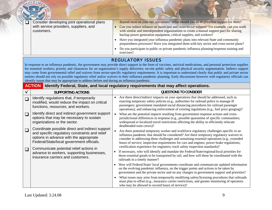|              | DEPARTM                                                                                                                                                                                   |                                                                                                                                                                                                                                                                                                                                                                                                                                                                                                                                                                                                                                                                                                                                                                                                         |
|--------------|-------------------------------------------------------------------------------------------------------------------------------------------------------------------------------------------|---------------------------------------------------------------------------------------------------------------------------------------------------------------------------------------------------------------------------------------------------------------------------------------------------------------------------------------------------------------------------------------------------------------------------------------------------------------------------------------------------------------------------------------------------------------------------------------------------------------------------------------------------------------------------------------------------------------------------------------------------------------------------------------------------------|
|              | Consider developing joint operational plans<br>with service providers, suppliers, and<br>customers.                                                                                       | depend most on your rail operations? What should you do to prioritize support for them?<br>Can you reduce reliance on municipal and cross-sector support? For example, can you work<br>with similar and interdependent organizations to create a mutual support pact for sharing<br>backup power generation equipment, critical supplies, and workers?<br>Have you integrated your influenza pandemic plans into relevant State and community<br>preparedness processes? Have you integrated them with key sector and cross-sector plans?<br>Do you participate in public or private pandemic influenza planning/response training and<br>exercises?                                                                                                                                                    |
|              | identify issues that may be appropriate to address before and during an influenza pandemic.<br><b>ACTION</b>                                                                              | <b>REGULATORY ISSUES</b><br>In response to an influenza pandemic, the government may provide direct support in the form of vaccines, antiviral medications, and personal protection supplies<br>for essential workers; priority and clearances for an organization's supply deliveries; on-site public safety and physical security augmentation. Indirect support<br>may come from governmental relief and waivers from sector-specific regulatory requirements. It is important to understand clearly that public and private sector<br>entities should not rely on possible regulatory relief and/or waivers in their influenza pandemic planning. Early discussions however with regulatory officials can<br>Identify Federal, State, and local regulatory requirements that may affect operations. |
| $\checkmark$ | <b>SUPPORTING ACTIONS</b>                                                                                                                                                                 | <b>QUESTIONS TO CONSIDER</b>                                                                                                                                                                                                                                                                                                                                                                                                                                                                                                                                                                                                                                                                                                                                                                            |
| $\Box$       | Identify regulations that, if temporarily<br>modified, would reduce the impact on critical<br>functions, resources, and workers.                                                          | Are there direct/indirect impacts on your operations that should be addressed, such as<br>enacting temporary safety policies (e.g., authorities for railroad police to manage ill<br>passengers; government mandated social distancing procedures for railroad passenger<br>operations); and enhancing enforcement of existing regulations (e.g., fuel price gouging)?                                                                                                                                                                                                                                                                                                                                                                                                                                  |
| $\Box$       | Identify direct and indirect government support<br>options that may be necessary to sustain<br>organizations or the sector.                                                               | What are the potential impacts resulting from government response actions and cross-<br>jurisdictional differences in response (e.g., possible quarantine of specific communities;<br>widespread or localized travel restrictions affecting the ability to efficiently relocate<br>deadheaded train crews)?                                                                                                                                                                                                                                                                                                                                                                                                                                                                                             |
| $\Box$       | Coordinate possible direct and indirect support<br>and specific regulatory constraints and relief<br>options in advance with the appropriate<br>Federal/State/local government officials. | Are there potential temporary worker and workforce regulatory challenges specific to an<br>influenza pandemic that should be considered? Are there temporary regulatory waivers to<br>consider in addressing these challenges and sustaining essential operations (e.g., extended<br>hours of service; inspection requirements for cars and engines; power brake regulations;<br>certification experience for engineers; track safety inspection standards)?                                                                                                                                                                                                                                                                                                                                            |
| ⊔            | Communicate potential relief actions in<br>advance to workers, supporting businesses.<br>insurance carriers and customers.                                                                | If necessary, who will identify and mandate the Federal/State/regional/local priorities for<br>those essential goods to be transported by rail, and how will these be coordinated with the<br>railroads in a timely manner?<br>How will Federal/State/ local governments coordinate and communicate updated information<br>on the evolving pandemic influenza, on the trigger points and actions to be taken by<br>government and the private sector and on any changes in government support and priorities?<br>What issues may arise from temporarily modifying safety/licensing procedures that railroads<br>must plan to offset (e.g., insurance carrier restrictions, and greater monitoring of operators<br>who may be allowed to exceed hours of service)?                                       |